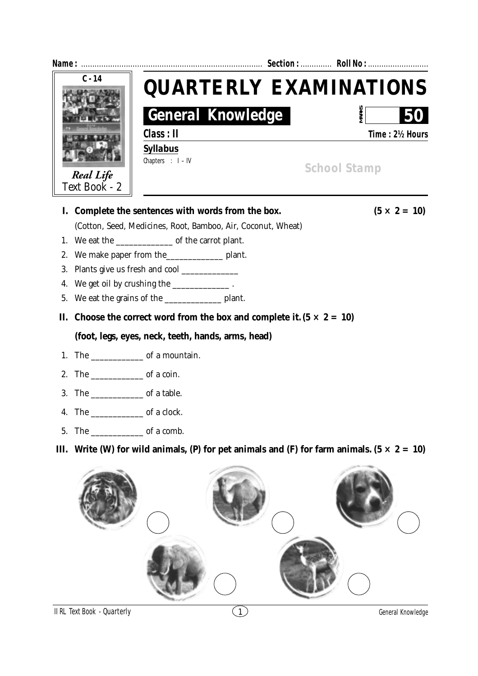| $C - 14$ |                                                                           |                                                                                               | <b>QUARTERLY EXAMINATIONS</b> |
|----------|---------------------------------------------------------------------------|-----------------------------------------------------------------------------------------------|-------------------------------|
|          |                                                                           | <b>General Knowledge</b>                                                                      | <b>MARKS</b>                  |
|          |                                                                           | Class : II                                                                                    | Time: 2½ Hours                |
|          |                                                                           | <b>Syllabus</b>                                                                               |                               |
|          | <b>Real Life</b>                                                          | Chapters : $I - IV$                                                                           | <b>School Stamp</b>           |
|          | Text Book - 2                                                             |                                                                                               |                               |
|          |                                                                           | I. Complete the sentences with words from the box.                                            | $(5 \times 2 = 10)$           |
|          | (Cotton, Seed, Medicines, Root, Bamboo, Air, Coconut, Wheat)              |                                                                                               |                               |
| 1.       |                                                                           |                                                                                               |                               |
| 2.       |                                                                           | We make paper from the____________________ plant.                                             |                               |
| 3.       |                                                                           |                                                                                               |                               |
| 4.       | We get oil by crushing the _______________.                               |                                                                                               |                               |
| 5.       |                                                                           |                                                                                               |                               |
| П.       | Choose the correct word from the box and complete it. $(5 \times 2 = 10)$ |                                                                                               |                               |
|          |                                                                           | (foot, legs, eyes, neck, teeth, hands, arms, head)                                            |                               |
|          |                                                                           |                                                                                               |                               |
|          | 2. The $\_\_\_\_\_\_$ of a coin.                                          |                                                                                               |                               |
|          |                                                                           |                                                                                               |                               |
|          |                                                                           |                                                                                               |                               |
| 5.       |                                                                           |                                                                                               |                               |
| Ш.       |                                                                           | Write (W) for wild animals, (P) for pet animals and (F) for farm animals. $(5 \times 2 = 10)$ |                               |
|          |                                                                           |                                                                                               |                               |

 $($ 

**CONST** 

**The** 

 $\mathcal{L}_{\mathcal{L}_{\mathcal{L}}}$